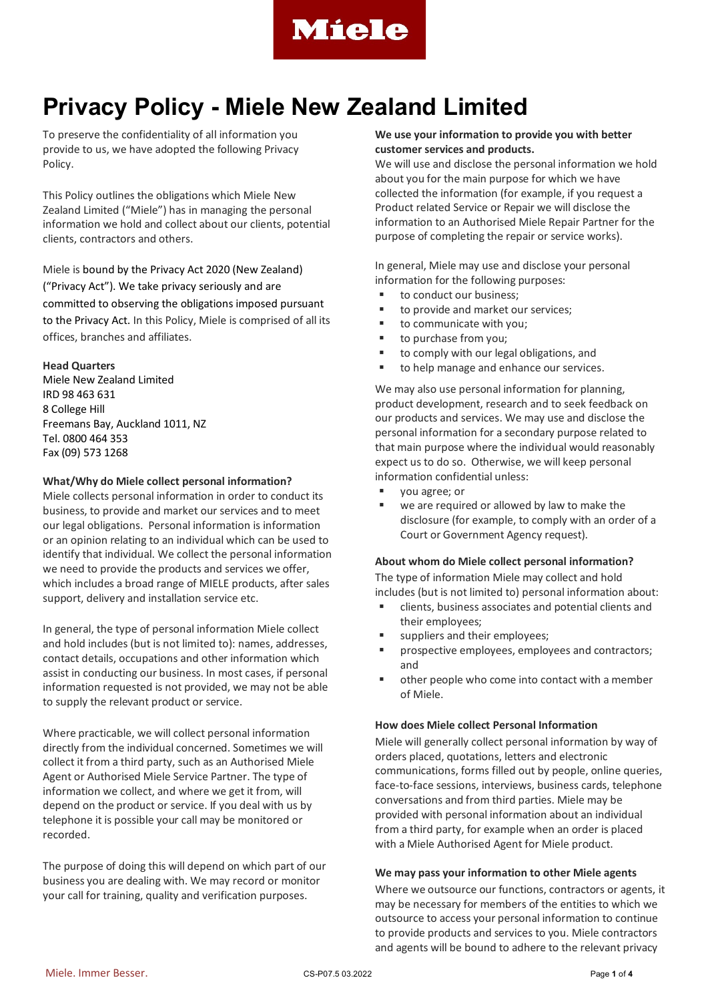

To preserve the confidentiality of all information you provide to us, we have adopted the following Privacy Policy.

This Policy outlines the obligations which Miele New Zealand Limited ("Miele") has in managing the personal information we hold and collect about our clients, potential clients, contractors and others.

Miele is bound by the Privacy Act 2020 (New Zealand) ("Privacy Act"). We take privacy seriously and are committed to observing the obligations imposed pursuant to the Privacy Act. In this Policy, Miele is comprised of all its offices, branches and affiliates.

## **Head Quarters**

Miele New Zealand Limited IRD 98 463 631 8 College Hill Freemans Bay, Auckland 1011, NZ Tel. 0800 464 353 Fax (09) 573 1268

### **What/Why do Miele collect personal information?**

Miele collects personal information in order to conduct its business, to provide and market our services and to meet our legal obligations. Personal information is information or an opinion relating to an individual which can be used to identify that individual. We collect the personal information we need to provide the products and services we offer, which includes a broad range of MIELE products, after sales support, delivery and installation service etc.

In general, the type of personal information Miele collect and hold includes (but is not limited to): names, addresses, contact details, occupations and other information which assist in conducting our business. In most cases, if personal information requested is not provided, we may not be able to supply the relevant product or service.

Where practicable, we will collect personal information directly from the individual concerned. Sometimes we will collect it from a third party, such as an Authorised Miele Agent or Authorised Miele Service Partner. The type of information we collect, and where we get it from, will depend on the product or service. If you deal with us by telephone it is possible your call may be monitored or recorded.

The purpose of doing this will depend on which part of our business you are dealing with. We may record or monitor your call for training, quality and verification purposes.

## **We use your information to provide you with better customer services and products.**

We will use and disclose the personal information we hold about you for the main purpose for which we have collected the information (for example, if you request a Product related Service or Repair we will disclose the information to an Authorised Miele Repair Partner for the purpose of completing the repair or service works).

In general, Miele may use and disclose your personal information for the following purposes:

- to conduct our business;
- to provide and market our services;
- to communicate with you;
- to purchase from you;
- to comply with our legal obligations, and
- to help manage and enhance our services.

We may also use personal information for planning, product development, research and to seek feedback on our products and services. We may use and disclose the personal information for a secondary purpose related to that main purpose where the individual would reasonably expect us to do so. Otherwise, we will keep personal information confidential unless:

- you agree; or
- we are required or allowed by law to make the disclosure (for example, to comply with an order of a Court or Government Agency request).

## **About whom do Miele collect personal information?**

The type of information Miele may collect and hold includes (but is not limited to) personal information about:

- clients, business associates and potential clients and their employees;
- suppliers and their employees;
- prospective employees, employees and contractors; and
- other people who come into contact with a member of Miele.

### **How does Miele collect Personal Information**

Miele will generally collect personal information by way of orders placed, quotations, letters and electronic communications, forms filled out by people, online queries, face-to-face sessions, interviews, business cards, telephone conversations and from third parties. Miele may be provided with personal information about an individual from a third party, for example when an order is placed with a Miele Authorised Agent for Miele product.

### **We may pass your information to other Miele agents**

Where we outsource our functions, contractors or agents, it may be necessary for members of the entities to which we outsource to access your personal information to continue to provide products and services to you. Miele contractors and agents will be bound to adhere to the relevant privacy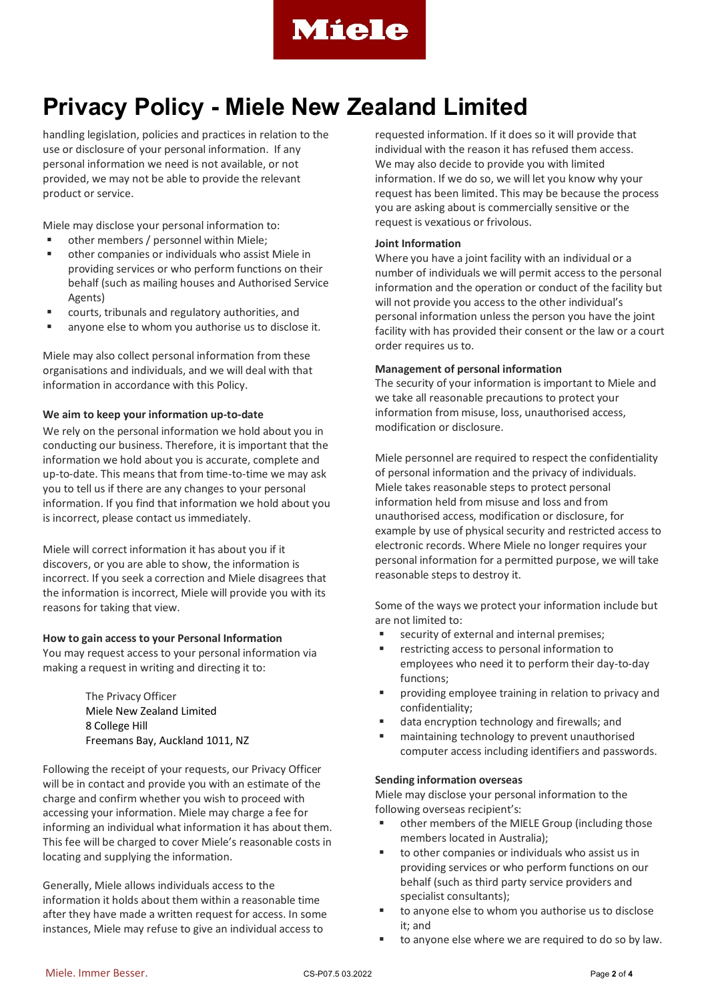

handling legislation, policies and practices in relation to the use or disclosure of your personal information. If any personal information we need is not available, or not provided, we may not be able to provide the relevant product or service.

Miele may disclose your personal information to:

- other members / personnel within Miele;
- other companies or individuals who assist Miele in providing services or who perform functions on their behalf (such as mailing houses and Authorised Service Agents)
- courts, tribunals and regulatory authorities, and
- anyone else to whom you authorise us to disclose it.

Miele may also collect personal information from these organisations and individuals, and we will deal with that information in accordance with this Policy.

### **We aim to keep your information up-to-date**

We rely on the personal information we hold about you in conducting our business. Therefore, it is important that the information we hold about you is accurate, complete and up-to-date. This means that from time-to-time we may ask you to tell us if there are any changes to your personal information. If you find that information we hold about you is incorrect, please contact us immediately.

Miele will correct information it has about you if it discovers, or you are able to show, the information is incorrect. If you seek a correction and Miele disagrees that the information is incorrect, Miele will provide you with its reasons for taking that view.

### **How to gain access to your Personal Information**

You may request access to your personal information via making a request in writing and directing it to:

> The Privacy Officer Miele New Zealand Limited 8 College Hill Freemans Bay, Auckland 1011, NZ

Following the receipt of your requests, our Privacy Officer will be in contact and provide you with an estimate of the charge and confirm whether you wish to proceed with accessing your information. Miele may charge a fee for informing an individual what information it has about them. This fee will be charged to cover Miele's reasonable costs in locating and supplying the information.

Generally, Miele allows individuals access to the information it holds about them within a reasonable time after they have made a written request for access. In some instances, Miele may refuse to give an individual access to

requested information. If it does so it will provide that individual with the reason it has refused them access. We may also decide to provide you with limited information. If we do so, we will let you know why your request has been limited. This may be because the process you are asking about is commercially sensitive or the request is vexatious or frivolous.

### **Joint Information**

Where you have a joint facility with an individual or a number of individuals we will permit access to the personal information and the operation or conduct of the facility but will not provide you access to the other individual's personal information unless the person you have the joint facility with has provided their consent or the law or a court order requires us to.

### **Management of personal information**

The security of your information is important to Miele and we take all reasonable precautions to protect your information from misuse, loss, unauthorised access, modification or disclosure.

Miele personnel are required to respect the confidentiality of personal information and the privacy of individuals. Miele takes reasonable steps to protect personal information held from misuse and loss and from unauthorised access, modification or disclosure, for example by use of physical security and restricted access to electronic records. Where Miele no longer requires your personal information for a permitted purpose, we will take reasonable steps to destroy it.

Some of the ways we protect your information include but are not limited to:

- security of external and internal premises;
- restricting access to personal information to employees who need it to perform their day-to-day functions;
- **Part Contains in the interpolation is providing employee training in relation to privacy and** confidentiality;
- data encryption technology and firewalls; and
- maintaining technology to prevent unauthorised computer access including identifiers and passwords.

### **Sending information overseas**

Miele may disclose your personal information to the following overseas recipient's:

- other members of the MIELE Group (including those members located in Australia);
- to other companies or individuals who assist us in providing services or who perform functions on our behalf (such as third party service providers and specialist consultants);
- to anyone else to whom you authorise us to disclose it; and
- to anyone else where we are required to do so by law.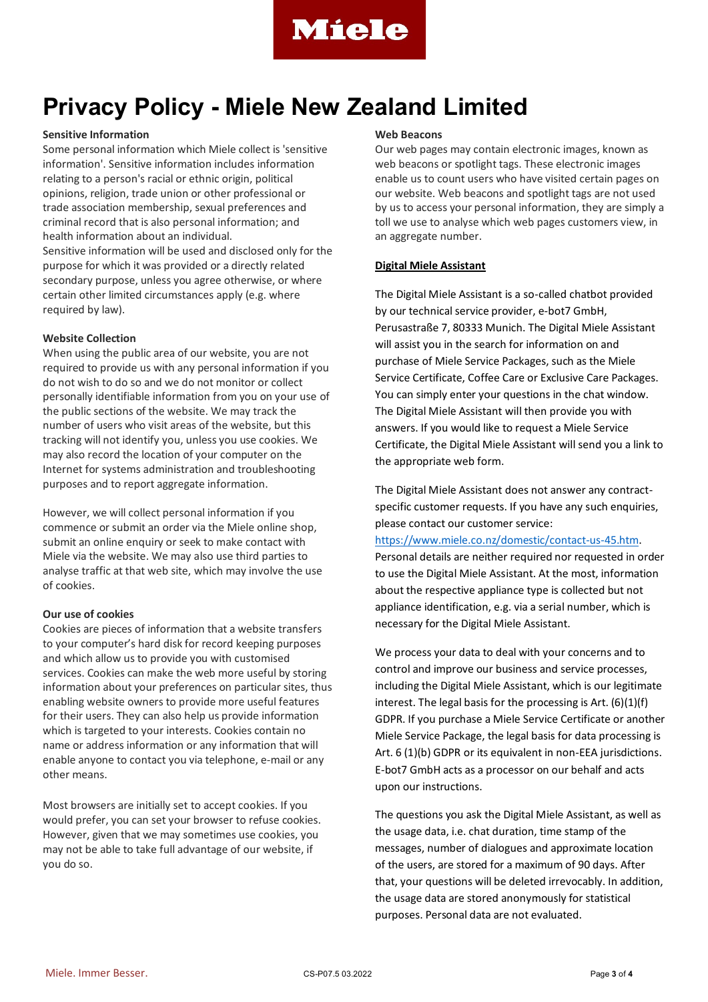

## **Sensitive Information**

Some personal information which Miele collect is 'sensitive information'. Sensitive information includes information relating to a person's racial or ethnic origin, political opinions, religion, trade union or other professional or trade association membership, sexual preferences and criminal record that is also personal information; and health information about an individual.

Sensitive information will be used and disclosed only for the purpose for which it was provided or a directly related secondary purpose, unless you agree otherwise, or where certain other limited circumstances apply (e.g. where required by law).

### **Website Collection**

When using the public area of our website, you are not required to provide us with any personal information if you do not wish to do so and we do not monitor or collect personally identifiable information from you on your use of the public sections of the website. We may track the number of users who visit areas of the website, but this tracking will not identify you, unless you use cookies. We may also record the location of your computer on the Internet for systems administration and troubleshooting purposes and to report aggregate information.

However, we will collect personal information if you commence or submit an order via the Miele online shop, submit an online enquiry or seek to make contact with Miele via the website. We may also use third parties to analyse traffic at that web site, which may involve the use of cookies.

## **Our use of cookies**

Cookies are pieces of information that a website transfers to your computer's hard disk for record keeping purposes and which allow us to provide you with customised services. Cookies can make the web more useful by storing information about your preferences on particular sites, thus enabling website owners to provide more useful features for their users. They can also help us provide information which is targeted to your interests. Cookies contain no name or address information or any information that will enable anyone to contact you via telephone, e-mail or any other means.

Most browsers are initially set to accept cookies. If you would prefer, you can set your browser to refuse cookies. However, given that we may sometimes use cookies, you may not be able to take full advantage of our website, if you do so.

### **Web Beacons**

Our web pages may contain electronic images, known as web beacons or spotlight tags. These electronic images enable us to count users who have visited certain pages on our website. Web beacons and spotlight tags are not used by us to access your personal information, they are simply a toll we use to analyse which web pages customers view, in an aggregate number.

## **Digital Miele Assistant**

The Digital Miele Assistant is a so-called chatbot provided by our technical service provider, e-bot7 GmbH, Perusastraße 7, 80333 Munich. The Digital Miele Assistant will assist you in the search for information on and purchase of Miele Service Packages, such as the Miele Service Certificate, Coffee Care or Exclusive Care Packages. You can simply enter your questions in the chat window. The Digital Miele Assistant will then provide you with answers. If you would like to request a Miele Service Certificate, the Digital Miele Assistant will send you a link to the appropriate web form.

The Digital Miele Assistant does not answer any contractspecific customer requests. If you have any such enquiries, please contact our customer service:

### [https://www.miele.co.nz/domestic/contact-us-45.htm.](https://www.miele.co.nz/domestic/contact-us-45.htm)

Personal details are neither required nor requested in order to use the Digital Miele Assistant. At the most, information about the respective appliance type is collected but not appliance identification, e.g. via a serial number, which is necessary for the Digital Miele Assistant.

We process your data to deal with your concerns and to control and improve our business and service processes, including the Digital Miele Assistant, which is our legitimate interest. The legal basis for the processing is Art. (6)(1)(f) GDPR. If you purchase a Miele Service Certificate or another Miele Service Package, the legal basis for data processing is Art. 6 (1)(b) GDPR or its equivalent in non-EEA jurisdictions. E-bot7 GmbH acts as a processor on our behalf and acts upon our instructions.

The questions you ask the Digital Miele Assistant, as well as the usage data, i.e. chat duration, time stamp of the messages, number of dialogues and approximate location of the users, are stored for a maximum of 90 days. After that, your questions will be deleted irrevocably. In addition, the usage data are stored anonymously for statistical purposes. Personal data are not evaluated.